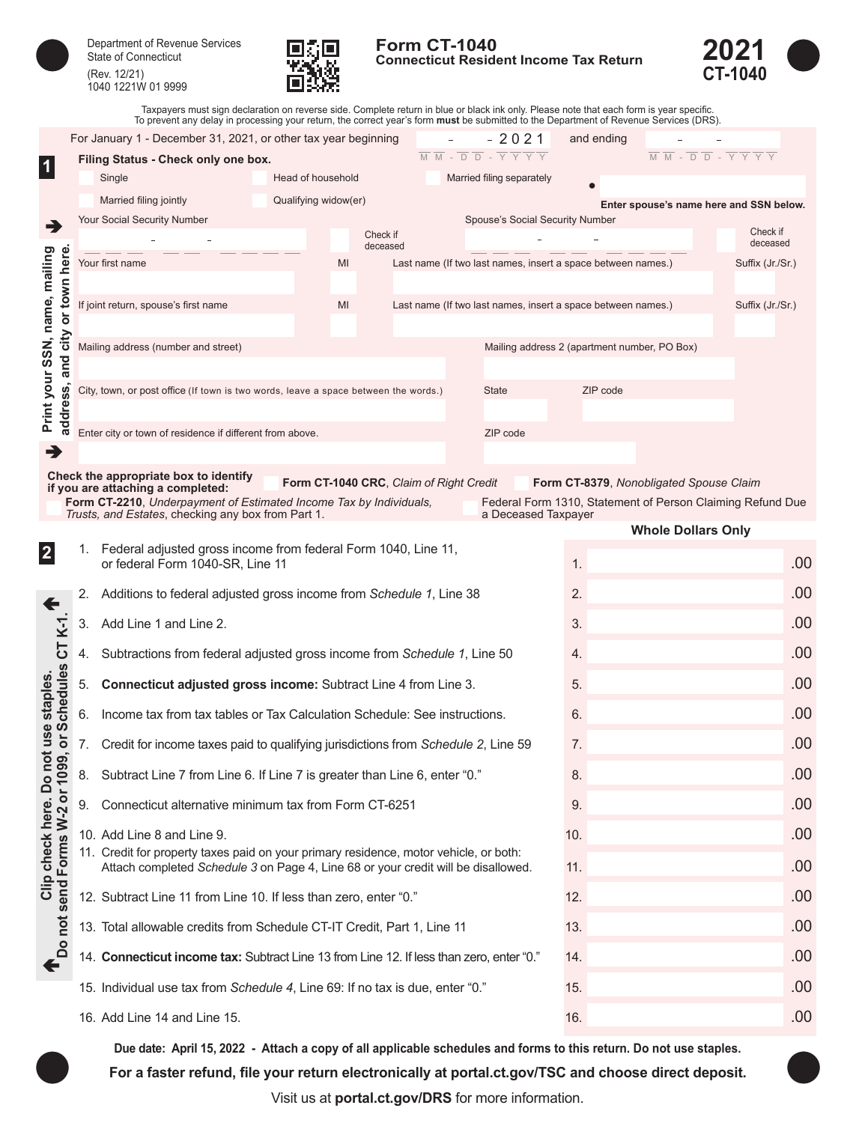| Department of Revenue Services<br><b>State of Connecticut</b> |
|---------------------------------------------------------------|
| $(D_{01} 10/01)$                                              |

(Rev. 12/21) 1040 1221W 01 9999



**Form CT-1040 Connecticut Resident Income Tax Return** 



Taxpayers must sign declaration on reverse side. Complete return in blue or black ink only. Please note that each form is year specific.<br>To prevent any delay in processing your return, the correct year's form **must** be sub

|                                             |    | For January 1 - December 31, 2021, or other tax year beginning                                                           |                      |          |                                         |                                                                                                          | $-2021$             | and ending                                                   |                                                            |                  |     |
|---------------------------------------------|----|--------------------------------------------------------------------------------------------------------------------------|----------------------|----------|-----------------------------------------|----------------------------------------------------------------------------------------------------------|---------------------|--------------------------------------------------------------|------------------------------------------------------------|------------------|-----|
|                                             |    | Filing Status - Check only one box.                                                                                      |                      |          |                                         | $\overline{M} \ \overline{M} - \overline{D} \ \overline{D} - \overline{Y} \ \overline{Y} \ \overline{Y}$ |                     |                                                              | M M - D D - Y Y Y Y                                        |                  |     |
|                                             |    | Single                                                                                                                   | Head of household    |          |                                         | Married filing separately                                                                                |                     |                                                              |                                                            |                  |     |
|                                             |    | Married filing jointly                                                                                                   | Qualifying widow(er) |          |                                         |                                                                                                          |                     |                                                              | Enter spouse's name here and SSN below.                    |                  |     |
| ∍                                           |    | <b>Your Social Security Number</b>                                                                                       |                      | Check if |                                         |                                                                                                          |                     | Spouse's Social Security Number                              |                                                            | Check if         |     |
|                                             |    |                                                                                                                          |                      | deceased |                                         |                                                                                                          |                     |                                                              |                                                            | deceased         |     |
|                                             |    | Your first name                                                                                                          | MI                   |          |                                         |                                                                                                          |                     | Last name (If two last names, insert a space between names.) |                                                            | Suffix (Jr./Sr.) |     |
| or town here                                |    |                                                                                                                          | MI                   |          |                                         |                                                                                                          |                     |                                                              |                                                            |                  |     |
|                                             |    | If joint return, spouse's first name                                                                                     |                      |          |                                         |                                                                                                          |                     | Last name (If two last names, insert a space between names.) |                                                            | Suffix (Jr./Sr.) |     |
| city                                        |    | Mailing address (number and street)                                                                                      |                      |          |                                         |                                                                                                          |                     | Mailing address 2 (apartment number, PO Box)                 |                                                            |                  |     |
| and                                         |    |                                                                                                                          |                      |          |                                         |                                                                                                          |                     |                                                              |                                                            |                  |     |
| Print your SSN, name, mailing               |    | City, town, or post office (If town is two words, leave a space between the words.)                                      |                      |          |                                         | <b>State</b>                                                                                             |                     | ZIP code                                                     |                                                            |                  |     |
| address,                                    |    |                                                                                                                          |                      |          |                                         |                                                                                                          |                     |                                                              |                                                            |                  |     |
|                                             |    | Enter city or town of residence if different from above.                                                                 |                      |          |                                         | ZIP code                                                                                                 |                     |                                                              |                                                            |                  |     |
| →                                           |    |                                                                                                                          |                      |          |                                         |                                                                                                          |                     |                                                              |                                                            |                  |     |
|                                             |    | Check the appropriate box to identify<br>if you are attaching a completed:                                               |                      |          | Form CT-1040 CRC, Claim of Right Credit |                                                                                                          |                     |                                                              | Form CT-8379, Nonobligated Spouse Claim                    |                  |     |
|                                             |    | Form CT-2210, Underpayment of Estimated Income Tax by Individuals,<br>Trusts, and Estates, checking any box from Part 1. |                      |          |                                         |                                                                                                          | a Deceased Taxpayer |                                                              | Federal Form 1310, Statement of Person Claiming Refund Due |                  |     |
|                                             |    |                                                                                                                          |                      |          |                                         |                                                                                                          |                     |                                                              | <b>Whole Dollars Only</b>                                  |                  |     |
| $\mathbf 2$                                 |    | 1. Federal adjusted gross income from federal Form 1040, Line 11,<br>or federal Form 1040-SR, Line 11                    |                      |          |                                         |                                                                                                          |                     | 1.                                                           |                                                            |                  | .00 |
|                                             |    |                                                                                                                          |                      |          |                                         |                                                                                                          |                     |                                                              |                                                            |                  |     |
|                                             | 2. | Additions to federal adjusted gross income from Schedule 1, Line 38                                                      |                      |          |                                         |                                                                                                          |                     | 2.                                                           |                                                            |                  | .00 |
| $K-1$                                       | 3. | Add Line 1 and Line 2.                                                                                                   |                      |          |                                         |                                                                                                          |                     | 3.                                                           |                                                            |                  | .00 |
| 57                                          | 4. | Subtractions from federal adjusted gross income from Schedule 1, Line 50                                                 |                      |          |                                         |                                                                                                          |                     | 4.                                                           |                                                            |                  | .00 |
|                                             |    |                                                                                                                          |                      |          |                                         |                                                                                                          |                     | 5.                                                           |                                                            |                  | .00 |
| <b>Schedules</b>                            | 5. | Connecticut adjusted gross income: Subtract Line 4 from Line 3.                                                          |                      |          |                                         |                                                                                                          |                     |                                                              |                                                            |                  |     |
|                                             | 6. | Income tax from tax tables or Tax Calculation Schedule: See instructions.                                                |                      |          |                                         |                                                                                                          |                     | 6.                                                           |                                                            |                  | .00 |
| not use staples<br>$\overline{\sigma}$      | 7. | Credit for income taxes paid to qualifying jurisdictions from Schedule 2, Line 59                                        |                      |          |                                         |                                                                                                          |                     | 7.                                                           |                                                            |                  | .00 |
| ၜ<br>ഉ                                      | 8. | Subtract Line 7 from Line 6. If Line 7 is greater than Line 6, enter "0."                                                |                      |          |                                         |                                                                                                          |                     | 8.                                                           |                                                            |                  | .00 |
|                                             | 9. | Connecticut alternative minimum tax from Form CT-6251                                                                    |                      |          |                                         |                                                                                                          |                     | 9.                                                           |                                                            |                  | .00 |
|                                             |    | 10. Add Line 8 and Line 9.                                                                                               |                      |          |                                         |                                                                                                          |                     | 10.                                                          |                                                            |                  | .00 |
|                                             |    | 11. Credit for property taxes paid on your primary residence, motor vehicle, or both:                                    |                      |          |                                         |                                                                                                          |                     |                                                              |                                                            |                  |     |
|                                             |    | Attach completed Schedule 3 on Page 4, Line 68 or your credit will be disallowed.                                        |                      |          |                                         |                                                                                                          |                     | 11.                                                          |                                                            |                  | .00 |
| Clip check here. Do<br>send Forms W-2 or 10 |    | 12. Subtract Line 11 from Line 10. If less than zero, enter "0."                                                         |                      |          |                                         |                                                                                                          |                     | 12.                                                          |                                                            |                  | .00 |
| not                                         |    | 13. Total allowable credits from Schedule CT-IT Credit, Part 1, Line 11                                                  |                      |          |                                         |                                                                                                          |                     | 13.                                                          |                                                            |                  | .00 |
| $\overline{\mathsf{d}}$<br>$\blacklozenge$  |    | 14. Connecticut income tax: Subtract Line 13 from Line 12. If less than zero, enter "0."                                 |                      |          |                                         |                                                                                                          |                     | 14.                                                          |                                                            |                  | .00 |
|                                             |    | 15. Individual use tax from Schedule 4, Line 69: If no tax is due, enter "0."                                            |                      |          |                                         |                                                                                                          |                     | 15.                                                          |                                                            |                  | .00 |
|                                             |    |                                                                                                                          |                      |          |                                         |                                                                                                          |                     |                                                              |                                                            |                  |     |

16. Add Line 14 and Line 15. **16. If the set of the set of the set of the set of the set of the set of the set o** 

**For a faster refund, file your return electronically at [portal.ct.gov/TSC](https://portal.ct.gov/TSC) and choose direct deposit. Due date: April 15, 2022 - Attach a copy of all applicable schedules and forms to this return. Do not use staples.**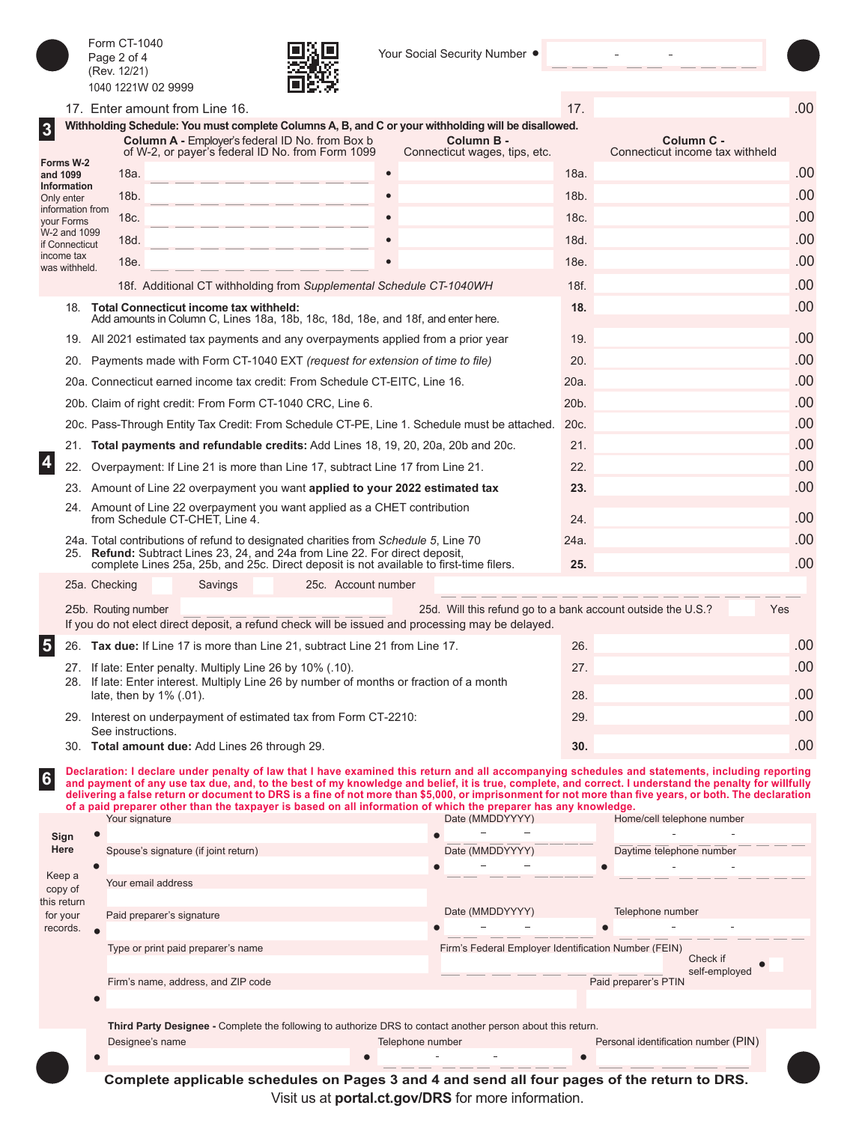**3**

**4**

**5**

**6**

(Rev. 12/21)  $0.10 100 111$ 

Form CT-1040 Page 2 of 4



Your Social Security Number .

|                         |                                |               | 1040 1221W 02 9999      |                                                | шэ. Ф                                                                                                                                                                                                             |           |                                                              |                   |                                                                                                                                                                                                                                                                                                                                                                                                                                                                                                    |
|-------------------------|--------------------------------|---------------|-------------------------|------------------------------------------------|-------------------------------------------------------------------------------------------------------------------------------------------------------------------------------------------------------------------|-----------|--------------------------------------------------------------|-------------------|----------------------------------------------------------------------------------------------------------------------------------------------------------------------------------------------------------------------------------------------------------------------------------------------------------------------------------------------------------------------------------------------------------------------------------------------------------------------------------------------------|
|                         |                                |               |                         | 17. Enter amount from Line 16.                 |                                                                                                                                                                                                                   |           |                                                              | 17.               | .00                                                                                                                                                                                                                                                                                                                                                                                                                                                                                                |
| $\overline{\mathbf{3}}$ |                                |               |                         |                                                | Withholding Schedule: You must complete Columns A, B, and C or your withholding will be disallowed.<br><b>Column A - Employer's federal ID No. from Box b</b><br>of W-2, or payer's federal ID No. from Form 1099 |           | Column B -<br>Connecticut wages, tips, etc.                  |                   | Column C -<br>Connecticut income tax withheld                                                                                                                                                                                                                                                                                                                                                                                                                                                      |
|                         | Forms W-2<br>and 1099          |               | 18a.                    |                                                |                                                                                                                                                                                                                   | $\bullet$ |                                                              | 18a.              | .00                                                                                                                                                                                                                                                                                                                                                                                                                                                                                                |
|                         | Information<br>Only enter      |               | 18b.                    |                                                |                                                                                                                                                                                                                   |           |                                                              | 18b.              | .00                                                                                                                                                                                                                                                                                                                                                                                                                                                                                                |
|                         | information from<br>your Forms |               | 18c.                    |                                                |                                                                                                                                                                                                                   |           |                                                              | 18c.              | .00                                                                                                                                                                                                                                                                                                                                                                                                                                                                                                |
|                         | W-2 and 1099<br>if Connecticut |               | 18d.                    |                                                |                                                                                                                                                                                                                   |           |                                                              | 18d.              | .00                                                                                                                                                                                                                                                                                                                                                                                                                                                                                                |
|                         | income tax                     |               | 18e.                    |                                                |                                                                                                                                                                                                                   |           |                                                              | 18e.              | .00                                                                                                                                                                                                                                                                                                                                                                                                                                                                                                |
|                         | was withheld.                  |               |                         |                                                | 18f. Additional CT withholding from Supplemental Schedule CT-1040WH                                                                                                                                               |           |                                                              | 18f.              | .00                                                                                                                                                                                                                                                                                                                                                                                                                                                                                                |
|                         |                                |               |                         | 18. Total Connecticut income tax withheld:     |                                                                                                                                                                                                                   |           |                                                              | 18.               | .00                                                                                                                                                                                                                                                                                                                                                                                                                                                                                                |
|                         |                                |               |                         |                                                | Add amounts in Column C, Lines 18a, 18b, 18c, 18d, 18e, and 18f, and enter here.                                                                                                                                  |           |                                                              |                   |                                                                                                                                                                                                                                                                                                                                                                                                                                                                                                    |
|                         |                                |               |                         |                                                | 19. All 2021 estimated tax payments and any overpayments applied from a prior year                                                                                                                                |           |                                                              | 19.               | .00                                                                                                                                                                                                                                                                                                                                                                                                                                                                                                |
|                         |                                |               |                         |                                                | 20. Payments made with Form CT-1040 EXT (request for extension of time to file)                                                                                                                                   |           |                                                              | 20.               | .00                                                                                                                                                                                                                                                                                                                                                                                                                                                                                                |
|                         |                                |               |                         |                                                | 20a. Connecticut earned income tax credit: From Schedule CT-EITC, Line 16.                                                                                                                                        |           |                                                              | 20a.              | .00                                                                                                                                                                                                                                                                                                                                                                                                                                                                                                |
|                         |                                |               |                         |                                                | 20b. Claim of right credit: From Form CT-1040 CRC, Line 6.                                                                                                                                                        |           |                                                              | 20 <sub>b</sub> . | .00                                                                                                                                                                                                                                                                                                                                                                                                                                                                                                |
|                         |                                |               |                         |                                                | 20c. Pass-Through Entity Tax Credit: From Schedule CT-PE, Line 1. Schedule must be attached.                                                                                                                      |           |                                                              | 20c.              | .00                                                                                                                                                                                                                                                                                                                                                                                                                                                                                                |
|                         |                                |               |                         |                                                | 21. Total payments and refundable credits: Add Lines 18, 19, 20, 20a, 20b and 20c.                                                                                                                                |           |                                                              | 21.               | .00                                                                                                                                                                                                                                                                                                                                                                                                                                                                                                |
| $\overline{\mathbf{4}}$ | 22.                            |               |                         |                                                | Overpayment: If Line 21 is more than Line 17, subtract Line 17 from Line 21.                                                                                                                                      |           |                                                              | 22.               | .00                                                                                                                                                                                                                                                                                                                                                                                                                                                                                                |
|                         |                                |               |                         |                                                | 23. Amount of Line 22 overpayment you want applied to your 2022 estimated tax                                                                                                                                     |           |                                                              | 23.               | .00                                                                                                                                                                                                                                                                                                                                                                                                                                                                                                |
|                         |                                |               |                         | from Schedule CT-CHET, Line 4.                 | 24. Amount of Line 22 overpayment you want applied as a CHET contribution                                                                                                                                         |           |                                                              | 24.               | .00                                                                                                                                                                                                                                                                                                                                                                                                                                                                                                |
|                         |                                |               |                         |                                                | 24a. Total contributions of refund to designated charities from Schedule 5, Line 70<br>25. Refund: Subtract Lines 23, 24, and 24a from Line 22. For direct deposit,                                               |           |                                                              | 24a.              | .00                                                                                                                                                                                                                                                                                                                                                                                                                                                                                                |
|                         |                                |               |                         |                                                | complete Lines 25a, 25b, and 25c. Direct deposit is not available to first-time filers.                                                                                                                           |           |                                                              | 25.               | .00                                                                                                                                                                                                                                                                                                                                                                                                                                                                                                |
|                         |                                | 25a. Checking |                         | Savings                                        | 25c. Account number                                                                                                                                                                                               |           |                                                              |                   |                                                                                                                                                                                                                                                                                                                                                                                                                                                                                                    |
|                         |                                |               | 25b. Routing number     |                                                | If you do not elect direct deposit, a refund check will be issued and processing may be delayed.                                                                                                                  |           | 25d. Will this refund go to a bank account outside the U.S.? |                   | Yes                                                                                                                                                                                                                                                                                                                                                                                                                                                                                                |
| $\overline{\mathbf{5}}$ |                                |               |                         |                                                | 26. Tax due: If Line 17 is more than Line 21, subtract Line 21 from Line 17.                                                                                                                                      |           |                                                              | 26.               | .00                                                                                                                                                                                                                                                                                                                                                                                                                                                                                                |
|                         |                                |               |                         |                                                | 27. If late: Enter penalty. Multiply Line 26 by 10% (.10).                                                                                                                                                        |           |                                                              | 27.               | .00                                                                                                                                                                                                                                                                                                                                                                                                                                                                                                |
|                         |                                |               | late, then by 1% (.01). |                                                | 28. If late: Enter interest. Multiply Line 26 by number of months or fraction of a month                                                                                                                          |           |                                                              | 28.               | .00                                                                                                                                                                                                                                                                                                                                                                                                                                                                                                |
|                         |                                |               |                         |                                                | 29. Interest on underpayment of estimated tax from Form CT-2210:                                                                                                                                                  |           |                                                              | 29.               | .00                                                                                                                                                                                                                                                                                                                                                                                                                                                                                                |
|                         |                                |               | See instructions.       |                                                |                                                                                                                                                                                                                   |           |                                                              |                   |                                                                                                                                                                                                                                                                                                                                                                                                                                                                                                    |
|                         |                                |               |                         | 30. Total amount due: Add Lines 26 through 29. |                                                                                                                                                                                                                   |           |                                                              | 30.               | .00                                                                                                                                                                                                                                                                                                                                                                                                                                                                                                |
| $\boldsymbol{6}$        |                                |               | Your signature          |                                                | of a paid preparer other than the taxpayer is based on all information of which the preparer has any knowledge.                                                                                                   |           | Date (MMDDYYYY)                                              |                   | Declaration: I declare under penalty of law that I have examined this return and all accompanying schedules and statements, including reporting<br>and payment of any use tax due, and, to the best of my knowledge and belief, it is true, complete, and correct. I understand the penalty for willfully<br>delivering a false return or document to DRS is a fine of not more than \$5.000, or imprisonment for not more than five vears, or both. The declaration<br>Home/cell telephone number |
|                         | Sign                           | ō             |                         |                                                |                                                                                                                                                                                                                   |           |                                                              |                   |                                                                                                                                                                                                                                                                                                                                                                                                                                                                                                    |
|                         | Here                           |               |                         | Spouse's signature (if joint return)           |                                                                                                                                                                                                                   |           | Date (MMDDYYYY)                                              |                   | Daytime telephone number                                                                                                                                                                                                                                                                                                                                                                                                                                                                           |
|                         | Keep a                         | $\bullet$     |                         |                                                |                                                                                                                                                                                                                   |           |                                                              | Ċ                 |                                                                                                                                                                                                                                                                                                                                                                                                                                                                                                    |
|                         | copy of<br>this return         |               | Your email address      |                                                |                                                                                                                                                                                                                   |           |                                                              |                   |                                                                                                                                                                                                                                                                                                                                                                                                                                                                                                    |
|                         | for your                       |               |                         | Paid preparer's signature                      |                                                                                                                                                                                                                   |           | Date (MMDDYYYY)                                              |                   | Telephone number                                                                                                                                                                                                                                                                                                                                                                                                                                                                                   |
|                         | records.                       | $\bullet$     |                         |                                                |                                                                                                                                                                                                                   |           |                                                              |                   |                                                                                                                                                                                                                                                                                                                                                                                                                                                                                                    |
|                         |                                |               |                         | Type or print paid preparer's name             |                                                                                                                                                                                                                   |           | Firm's Federal Employer Identification Number (FEIN)         |                   | Check if<br>self-employed                                                                                                                                                                                                                                                                                                                                                                                                                                                                          |
|                         |                                |               |                         | Firm's name, address, and ZIP code             |                                                                                                                                                                                                                   |           |                                                              |                   | Paid preparer's PTIN                                                                                                                                                                                                                                                                                                                                                                                                                                                                               |

 $\bullet$ 

 $\bullet$ 

**Third Party Designee -** Complete the following to authorize DRS to contact another person about this return.

Designee's name **Telephone number** Telephone number Personal identification number (PIN)

 $\overline{a}$ 

 $\overline{\phantom{a}}$ 

**Complete applicable schedules on Pages 3 and 4 and send all four pages of the return to DRS.** Visit us at **[portal.ct.gov/DRS](https://portal.ct.gov/DRS)** for more information.

 $\bullet$   $\qquad$   $\qquad$   $\qquad$   $\qquad$   $\qquad$   $\qquad$   $\bullet$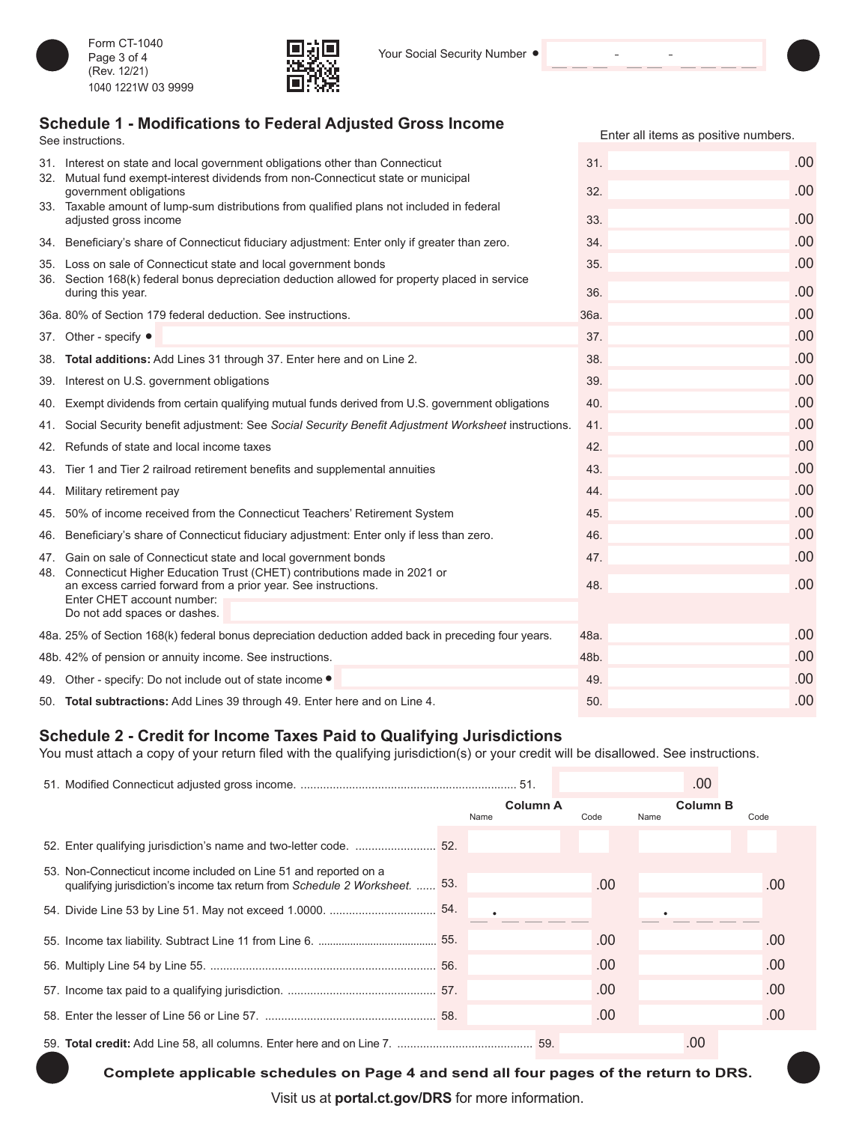

Form CT-1040 Page 3 of 4 (Rev. 12/21) 1040 1221W 03 9999



## **Schedule 1 - Modifications to Federal Adjusted Gross Income**

| See instructions.                                                                                                                             | Enter all items as positive numbers. |      |
|-----------------------------------------------------------------------------------------------------------------------------------------------|--------------------------------------|------|
| 31. Interest on state and local government obligations other than Connecticut                                                                 | 31.                                  | .00. |
| 32. Mutual fund exempt-interest dividends from non-Connecticut state or municipal<br>government obligations                                   | 32.                                  | .00  |
| 33. Taxable amount of lump-sum distributions from qualified plans not included in federal                                                     |                                      |      |
| adjusted gross income                                                                                                                         | 33.                                  | .00  |
| 34. Beneficiary's share of Connecticut fiduciary adjustment: Enter only if greater than zero.                                                 | 34.                                  | .00  |
| 35. Loss on sale of Connecticut state and local government bonds                                                                              | 35.                                  | .00  |
| 36. Section 168(k) federal bonus depreciation deduction allowed for property placed in service<br>during this year.                           | 36.                                  | .00  |
| 36a. 80% of Section 179 federal deduction. See instructions.                                                                                  | 36a.                                 | .00. |
| 37. Other - specify ●                                                                                                                         | 37.                                  | .00  |
| 38. Total additions: Add Lines 31 through 37. Enter here and on Line 2.                                                                       | 38.                                  | .00  |
| 39. Interest on U.S. government obligations                                                                                                   | 39.                                  | .00  |
| 40. Exempt dividends from certain qualifying mutual funds derived from U.S. government obligations                                            | 40.                                  | .00. |
| 41. Social Security benefit adjustment: See Social Security Benefit Adjustment Worksheet instructions.                                        | 41.                                  | .00  |
| 42. Refunds of state and local income taxes                                                                                                   | 42.                                  | .00  |
| 43. Tier 1 and Tier 2 railroad retirement benefits and supplemental annuities                                                                 | 43.                                  | .00  |
| 44. Military retirement pay                                                                                                                   | 44.                                  | .00  |
| 45. 50% of income received from the Connecticut Teachers' Retirement System                                                                   | 45.                                  | .00  |
| 46. Beneficiary's share of Connecticut fiduciary adjustment: Enter only if less than zero.                                                    | 46.                                  | .00  |
| 47. Gain on sale of Connecticut state and local government bonds                                                                              | 47.                                  | .00  |
| 48. Connecticut Higher Education Trust (CHET) contributions made in 2021 or<br>an excess carried forward from a prior year. See instructions. | 48.                                  | .00  |
| Enter CHET account number:                                                                                                                    |                                      |      |
| Do not add spaces or dashes.                                                                                                                  |                                      |      |
| 48a. 25% of Section 168(k) federal bonus depreciation deduction added back in preceding four years.                                           | 48a.                                 | .00  |
| 48b. 42% of pension or annuity income. See instructions.                                                                                      | 48b.                                 | .00  |
| 49. Other - specify: Do not include out of state income .                                                                                     | 49.                                  | .00  |
| 50. Total subtractions: Add Lines 39 through 49. Enter here and on Line 4.                                                                    | 50.                                  | .00  |

## **Schedule 2 - Credit for Income Taxes Paid to Qualifying Jurisdictions**

You must attach a copy of your return filed with the qualifying jurisdiction(s) or your credit will be disallowed. See instructions.

|                                                                                                                                                 |                         |      | .00                     |      |
|-------------------------------------------------------------------------------------------------------------------------------------------------|-------------------------|------|-------------------------|------|
|                                                                                                                                                 | <b>Column A</b><br>Name | Code | <b>Column B</b><br>Name | Code |
|                                                                                                                                                 |                         |      |                         |      |
| 53. Non-Connecticut income included on Line 51 and reported on a<br>qualifying jurisdiction's income tax return from Schedule 2 Worksheet.  53. |                         | .00  |                         | .00  |
|                                                                                                                                                 |                         |      |                         |      |
|                                                                                                                                                 |                         | .00  |                         | .00  |
|                                                                                                                                                 |                         | .00  |                         | .00  |
|                                                                                                                                                 |                         | .00  |                         | .00  |
|                                                                                                                                                 |                         | .00  |                         | .00  |
|                                                                                                                                                 |                         |      | .00                     |      |

**Complete applicable schedules on Page 4 and send all four pages of the return to DRS.**

Visit us at **[portal.ct.gov/DRS](https://portal.ct.gov/DRS)** for more information.